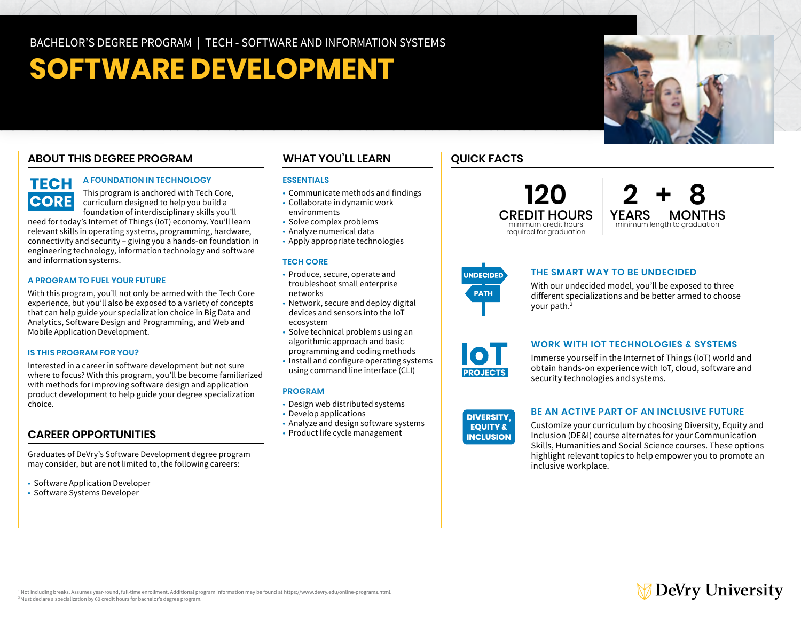# **SOFTWARE DEVELOPMENT**

## **ABOUT THIS DEGREE PROGRAM**

#### **A FOUNDATION IN TECHNOLOGY TECH**

This program is anchored with Tech Core, curriculum designed to help you build a foundation of interdisciplinary skills you'll

need for today's Internet of Things (IoT) economy. You'll learn relevant skills in operating systems, programming, hardware, connectivity and security – giving you a hands-on foundation in engineering technology, information technology and software and information systems.

#### **A PROGRAM TO FUEL YOUR FUTURE**

**CORE** 

With this program, you'll not only be armed with the Tech Core experience, but you'll also be exposed to a variety of concepts that can help guide your specialization choice in Big Data and Analytics, Software Design and Programming, and Web and Mobile Application Development.

#### **IS THIS PROGRAM FOR YOU?**

Interested in a career in software development but not sure where to focus? With this program, you'll be become familiarized with methods for improving software design and application product development to help guide your degree specialization choice.

## **CAREER OPPORTUNITIES**

Graduates of DeVry's [Software Development degree program](https://www.devry.edu/online-programs/bachelors-degrees/software-development.html)  may consider, but are not limited to, the following careers:

- Software Application Developer
- Software Systems Developer

## **WHAT YOU'LL LEARN QUICK FACTS**

#### **ESSENTIALS**

- Communicate methods and findings
- • Collaborate in dynamic work environments
- 
- Solve complex problems
- • Analyze numerical data • Apply appropriate technologies

#### **TECH CORE**

- • Produce, secure, operate and troubleshoot small enterprise networks
- • Network, secure and deploy digital devices and sensors into the IoT ecosystem
- • Solve technical problems using an algorithmic approach and basic
- programming and coding methods
- • Install and configure operating systems using command line interface (CLI)

#### **PROGRAM**

- Design web distributed systems
- Develop applications
- Analyze and design software systems
- Product life cycle management









#### **THE SMART WAY TO BE UNDECIDED**

With our undecided model, you'll be exposed to three different specializations and be better armed to choose your path.<sup>2</sup>



#### **WORK WITH IOT TECHNOLOGIES & SYSTEMS**

**POLICITS** obtain hands-on experience with IoT, cloud, software and security technologies and systems. **INCLUSION** Immerse yourself in the Internet of Things (IoT) world and

#### **DIVERSITY, EQUITY & INCLUSION**

#### **BE AN ACTIVE PART OF AN INCLUSIVE FUTURE**

Customize your curriculum by choosing Diversity, Equity and Inclusion (DE&I) course alternates for your Communication Skills, Humanities and Social Science courses. These options highlight relevant topics to help empower you to promote an inclusive workplace.